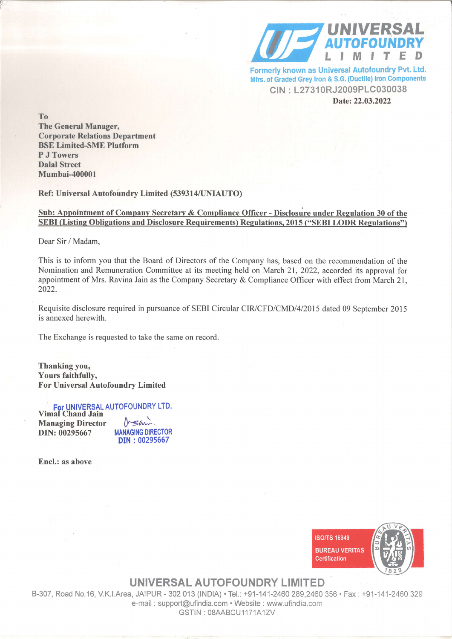

Formerly known as Universal Autofoundry Pvt. Ltd. Mfrs. of Graded Grey Iron & S.G. (Ductile) Iron Components CIN : L27310RJ2009PLC030038 Date:22.03.2022

To

The General Manager, Corporate Relations Department BSE Limited-SME Platform P J Towers Dalal Street Mumbai-400001

Ref: Universal Autofoundry Limited (539314/UNIAUTO)

## Sub: Apnointment of Company Secretarv & Compliance Officer - Disclosure under Regulation 30 of the SEBI (Listing Obligations and Disclosure Requirements) Regulations, 2015 ("SEBI LODR Regulations")

Dear Sir / Madam,

This is to inform you that the Board of Directors of the Company has, based on the recommendation of the Nomination and Remuneration Committee at its meeting held on March 21, 2022, accorded its approval for appointment of Mrs. Ravina Jain as the Company Secretary & Compliance Officer with effect from March 21, 2022.

Requisite disclosure required in pursuance of SEBI Circular CIR/CFD/CMDI4l20l5 dated 09 September 2015 is annexed herewith.

The Exchange is requested to take the same on record.

Thanking you, Yours faithfully, For Universal Autofoundrv Limited

FoT UNIVERSAL AUTOFOUNDRY LTD. Vimal Chand Jain

Managing Director DIN: 00295667

&=a-). MANAGING DIRECTOR DIN : 00295667

Encl.: as above



UNIVERSAL AUTOFOUNDRY LIMITED

B-307, Road No.16, V.K.I.Area, JAIPUR - 302 013 (INDIA) . Tel.: +91-141-2460 289,2460 356 . Fax: +91-141-2460 329 e-mail: support@ufindia.com . Website: www.ufindia.com GSTIN · 08AABCU1171A1ZV